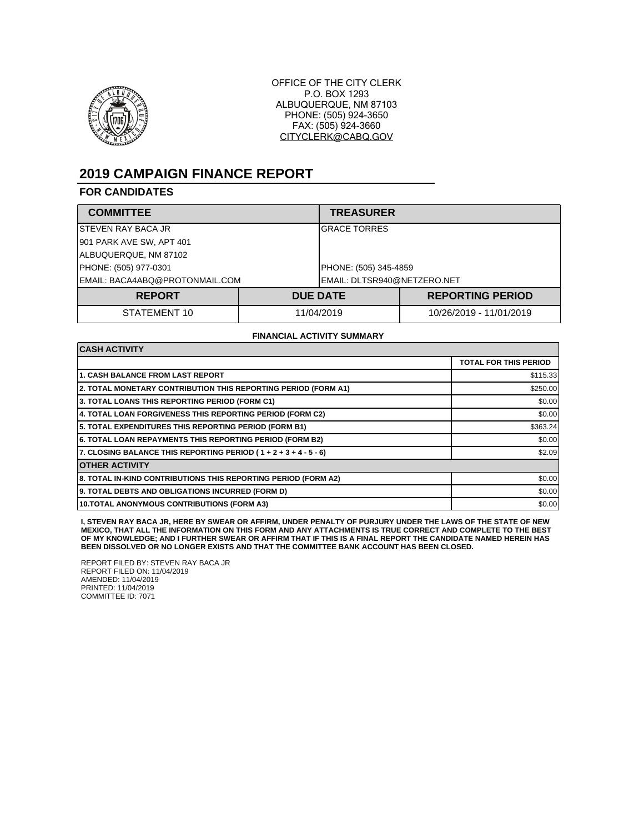

OFFICE OF THE CITY CLERK P.O. BOX 1293 ALBUQUERQUE, NM 87103 PHONE: (505) 924-3650 FAX: (505) 924-3660 CITYCLERK@CABQ.GOV

# **2019 CAMPAIGN FINANCE REPORT**

### **FOR CANDIDATES**

| <b>COMMITTEE</b>               |  | <b>TREASURER</b>            |                         |  |
|--------------------------------|--|-----------------------------|-------------------------|--|
| ISTEVEN RAY BACA JR            |  | <b>GRACE TORRES</b>         |                         |  |
| 901 PARK AVE SW, APT 401       |  |                             |                         |  |
| ALBUQUERQUE, NM 87102          |  |                             |                         |  |
| PHONE: (505) 977-0301          |  | PHONE: (505) 345-4859       |                         |  |
| EMAIL: BACA4ABQ@PROTONMAIL.COM |  | EMAIL: DLTSR940@NETZERO.NET |                         |  |
| <b>REPORT</b>                  |  | <b>DUE DATE</b>             | <b>REPORTING PERIOD</b> |  |
| STATEMENT 10                   |  | 11/04/2019                  | 10/26/2019 - 11/01/2019 |  |

#### **FINANCIAL ACTIVITY SUMMARY**

| <b>CASH ACTIVITY</b>                                             |                              |  |
|------------------------------------------------------------------|------------------------------|--|
|                                                                  | <b>TOTAL FOR THIS PERIOD</b> |  |
| <b>1. CASH BALANCE FROM LAST REPORT</b>                          | \$115.33                     |  |
| 2. TOTAL MONETARY CONTRIBUTION THIS REPORTING PERIOD (FORM A1)   | \$250.00                     |  |
| 3. TOTAL LOANS THIS REPORTING PERIOD (FORM C1)                   | \$0.00                       |  |
| 4. TOTAL LOAN FORGIVENESS THIS REPORTING PERIOD (FORM C2)        | \$0.00                       |  |
| 5. TOTAL EXPENDITURES THIS REPORTING PERIOD (FORM B1)            | \$363.24                     |  |
| <b>6. TOTAL LOAN REPAYMENTS THIS REPORTING PERIOD (FORM B2)</b>  | \$0.00                       |  |
| 7. CLOSING BALANCE THIS REPORTING PERIOD (1 + 2 + 3 + 4 - 5 - 6) | \$2.09                       |  |
| <b>OTHER ACTIVITY</b>                                            |                              |  |
| 8. TOTAL IN-KIND CONTRIBUTIONS THIS REPORTING PERIOD (FORM A2)   | \$0.00                       |  |
| 9. TOTAL DEBTS AND OBLIGATIONS INCURRED (FORM D)                 | \$0.00                       |  |
| 10. TOTAL ANONYMOUS CONTRIBUTIONS (FORM A3)                      | \$0.00                       |  |

I, STEVEN RAY BACA JR, HERE BY SWEAR OR AFFIRM, UNDER PENALTY OF PURJURY UNDER THE LAWS OF THE STATE OF NEW<br>MEXICO, THAT ALL THE INFORMATION ON THIS FORM AND ANY ATTACHMENTS IS TRUE CORRECT AND COMPLETE TO THE BEST **OF MY KNOWLEDGE; AND I FURTHER SWEAR OR AFFIRM THAT IF THIS IS A FINAL REPORT THE CANDIDATE NAMED HEREIN HAS BEEN DISSOLVED OR NO LONGER EXISTS AND THAT THE COMMITTEE BANK ACCOUNT HAS BEEN CLOSED.**

REPORT FILED BY: STEVEN RAY BACA JR REPORT FILED ON: 11/04/2019 AMENDED: 11/04/2019 PRINTED: 11/04/2019 COMMITTEE ID: 7071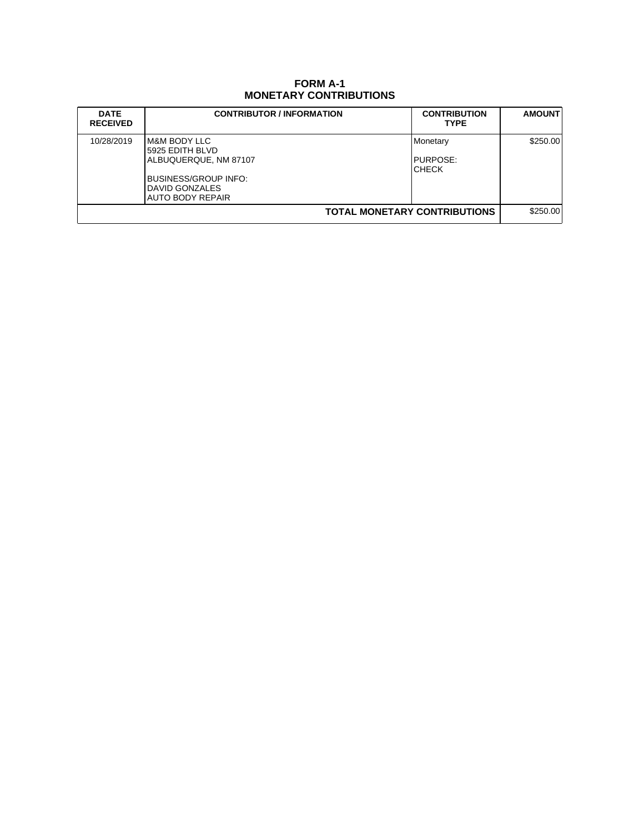## **FORM A-1 MONETARY CONTRIBUTIONS**

| <b>DATE</b><br><b>RECEIVED</b>      | <b>CONTRIBUTOR / INFORMATION</b>                                                                                               | <b>CONTRIBUTION</b><br><b>TYPE</b>     | <b>AMOUNT</b> |
|-------------------------------------|--------------------------------------------------------------------------------------------------------------------------------|----------------------------------------|---------------|
| 10/28/2019                          | IM&M BODY LLC<br>5925 EDITH BLVD<br>ALBUQUERQUE, NM 87107<br><b>BUSINESS/GROUP INFO:</b><br>DAVID GONZALES<br>AUTO BODY REPAIR | Monetary<br>IPURPOSE:<br><b>ICHECK</b> | \$250.00      |
| <b>TOTAL MONETARY CONTRIBUTIONS</b> |                                                                                                                                |                                        | \$250.00      |